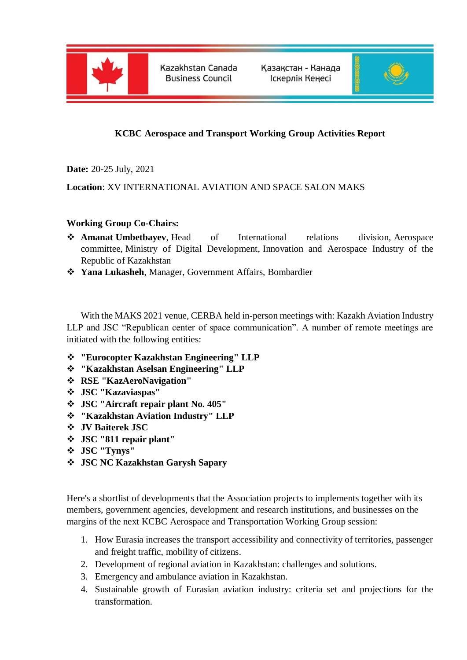

Kazakhstan Canada **Business Council** 

Казакстан - Канада Іскерлік Кенесі



## **KCBC Aerospace and Transport Working Group Activities Report**

**Date:** 20-25 July, 2021

**Location**: XV INTERNATIONAL AVIATION AND SPACE SALON MAKS

## **Working Group Co-Chairs:**

- **Amanat Umbetbayev**, Head of International relations division, Aerospace committee, Ministry of Digital Development, Innovation and Aerospace Industry of the Republic of Kazakhstan
- **Yana Lukasheh**, Manager, Government Affairs, Bombardier

With the MAKS 2021 venue, CERBA held in-person meetings with: Kazakh Aviation Industry LLP and JSC "Republican center of space communication". A number of remote meetings are initiated with the following entities:

- **"Eurocopter Kazakhstan Engineering" LLP**
- **"Kazakhstan Aselsan Engineering" LLP**
- **RSE "KazAeroNavigation"**
- **JSC "Kazaviaspas"**
- **JSC "Aircraft repair plant No. 405"**
- **"Kazakhstan Aviation Industry" LLP**
- **JV Baiterek JSC**
- **JSC "811 repair plant"**
- **JSC "Tynys"**
- **JSC NC Kazakhstan Garysh Sapary**

Here's a shortlist of developments that the Association projects to implements together with its members, government agencies, development and research institutions, and businesses on the margins of the next KCBC Aerospace and Transportation Working Group session:

- 1. How Eurasia increases the transport accessibility and connectivity of territories, passenger and freight traffic, mobility of citizens.
- 2. Development of regional aviation in Kazakhstan: challenges and solutions.
- 3. Emergency and ambulance aviation in Kazakhstan.
- 4. Sustainable growth of Eurasian aviation industry: criteria set and projections for the transformation.